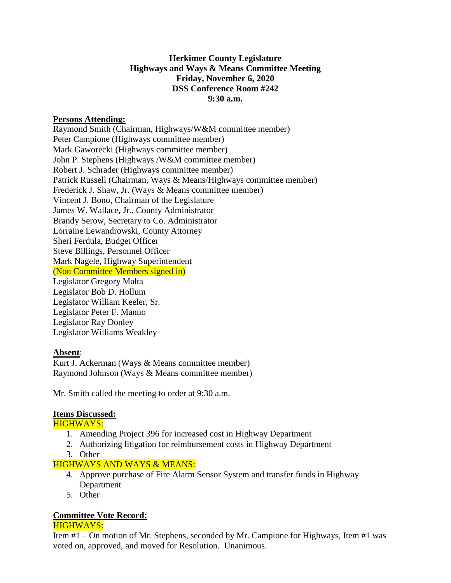# **Herkimer County Legislature Highways and Ways & Means Committee Meeting Friday, November 6, 2020 DSS Conference Room #242 9:30 a.m.**

### **Persons Attending:**

Raymond Smith (Chairman, Highways/W&M committee member) Peter Campione (Highways committee member) Mark Gaworecki (Highways committee member) John P. Stephens (Highways /W&M committee member) Robert J. Schrader (Highways committee member) Patrick Russell (Chairman, Ways & Means/Highways committee member) Frederick J. Shaw, Jr. (Ways & Means committee member) Vincent J. Bono, Chairman of the Legislature James W. Wallace, Jr., County Administrator Brandy Serow, Secretary to Co. Administrator Lorraine Lewandrowski, County Attorney Sheri Ferdula, Budget Officer Steve Billings, Personnel Officer Mark Nagele, Highway Superintendent (Non Committee Members signed in) Legislator Gregory Malta Legislator Bob D. Hollum Legislator William Keeler, Sr. Legislator Peter F. Manno Legislator Ray Donley Legislator Williams Weakley

#### **Absent**:

Kurt J. Ackerman (Ways & Means committee member) Raymond Johnson (Ways & Means committee member)

Mr. Smith called the meeting to order at 9:30 a.m.

#### **Items Discussed:**

#### HIGHWAYS:

- 1. Amending Project 396 for increased cost in Highway Department
- 2. Authorizing litigation for reimbursement costs in Highway Department
- 3. Other

# HIGHWAYS AND WAYS & MEANS:

- 4. Approve purchase of Fire Alarm Sensor System and transfer funds in Highway Department
- 5. Other

# **Committee Vote Record:**

#### HIGHWAYS:

Item #1 – On motion of Mr. Stephens, seconded by Mr. Campione for Highways, Item #1 was voted on, approved, and moved for Resolution. Unanimous.